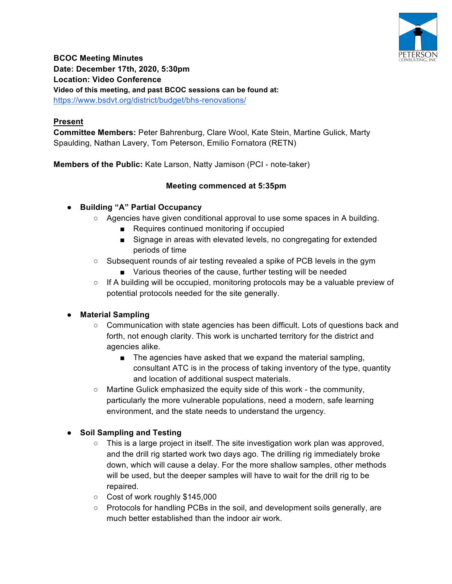

**BCOC Meeting Minutes Date: December 17th, 2020, 5:30pm Location: Video Conference Video of this meeting, and past BCOC sessions can be found at:** https://www.bsdvt.org/district/budget/bhs-renovations/

## **Present**

**Committee Members:** Peter Bahrenburg, Clare Wool, Kate Stein, Martine Gulick, Marty Spaulding, Nathan Lavery, Tom Peterson, Emilio Fornatora (RETN)

**Members of the Public:** Kate Larson, Natty Jamison (PCI - note-taker)

## **Meeting commenced at 5:35pm**

#### ● **Building "A" Partial Occupancy**

- Agencies have given conditional approval to use some spaces in A building.
	- Requires continued monitoring if occupied
	- Signage in areas with elevated levels, no congregating for extended periods of time
- Subsequent rounds of air testing revealed a spike of PCB levels in the gym
	- Various theories of the cause, further testing will be needed
- If A building will be occupied, monitoring protocols may be a valuable preview of potential protocols needed for the site generally.

## ● **Material Sampling**

- Communication with state agencies has been difficult. Lots of questions back and forth, not enough clarity. This work is uncharted territory for the district and agencies alike.
	- The agencies have asked that we expand the material sampling, consultant ATC is in the process of taking inventory of the type, quantity and location of additional suspect materials.
- Martine Gulick emphasized the equity side of this work the community, particularly the more vulnerable populations, need a modern, safe learning environment, and the state needs to understand the urgency.

## ● **Soil Sampling and Testing**

- $\circ$  This is a large project in itself. The site investigation work plan was approved, and the drill rig started work two days ago. The drilling rig immediately broke down, which will cause a delay. For the more shallow samples, other methods will be used, but the deeper samples will have to wait for the drill rig to be repaired.
- Cost of work roughly \$145,000
- Protocols for handling PCBs in the soil, and development soils generally, are much better established than the indoor air work.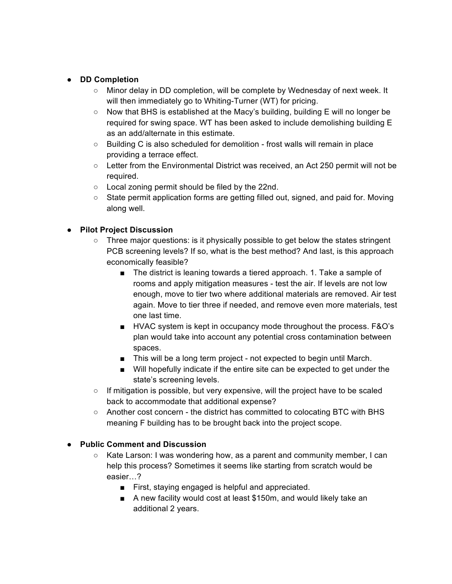#### ● **DD Completion**

- Minor delay in DD completion, will be complete by Wednesday of next week. It will then immediately go to Whiting-Turner (WT) for pricing.
- Now that BHS is established at the Macy's building, building E will no longer be required for swing space. WT has been asked to include demolishing building E as an add/alternate in this estimate.
- Building C is also scheduled for demolition frost walls will remain in place providing a terrace effect.
- Letter from the Environmental District was received, an Act 250 permit will not be required.
- Local zoning permit should be filed by the 22nd.
- State permit application forms are getting filled out, signed, and paid for. Moving along well.

#### ● **Pilot Project Discussion**

- $\circ$  Three major questions: is it physically possible to get below the states stringent PCB screening levels? If so, what is the best method? And last, is this approach economically feasible?
	- The district is leaning towards a tiered approach. 1. Take a sample of rooms and apply mitigation measures - test the air. If levels are not low enough, move to tier two where additional materials are removed. Air test again. Move to tier three if needed, and remove even more materials, test one last time.
	- HVAC system is kept in occupancy mode throughout the process. F&O's plan would take into account any potential cross contamination between spaces.
	- This will be a long term project not expected to begin until March.
	- Will hopefully indicate if the entire site can be expected to get under the state's screening levels.
- $\circ$  If mitigation is possible, but very expensive, will the project have to be scaled back to accommodate that additional expense?
- Another cost concern the district has committed to colocating BTC with BHS meaning F building has to be brought back into the project scope.

## ● **Public Comment and Discussion**

- Kate Larson: I was wondering how, as a parent and community member, I can help this process? Sometimes it seems like starting from scratch would be easier…?
	- First, staying engaged is helpful and appreciated.
	- A new facility would cost at least \$150m, and would likely take an additional 2 years.